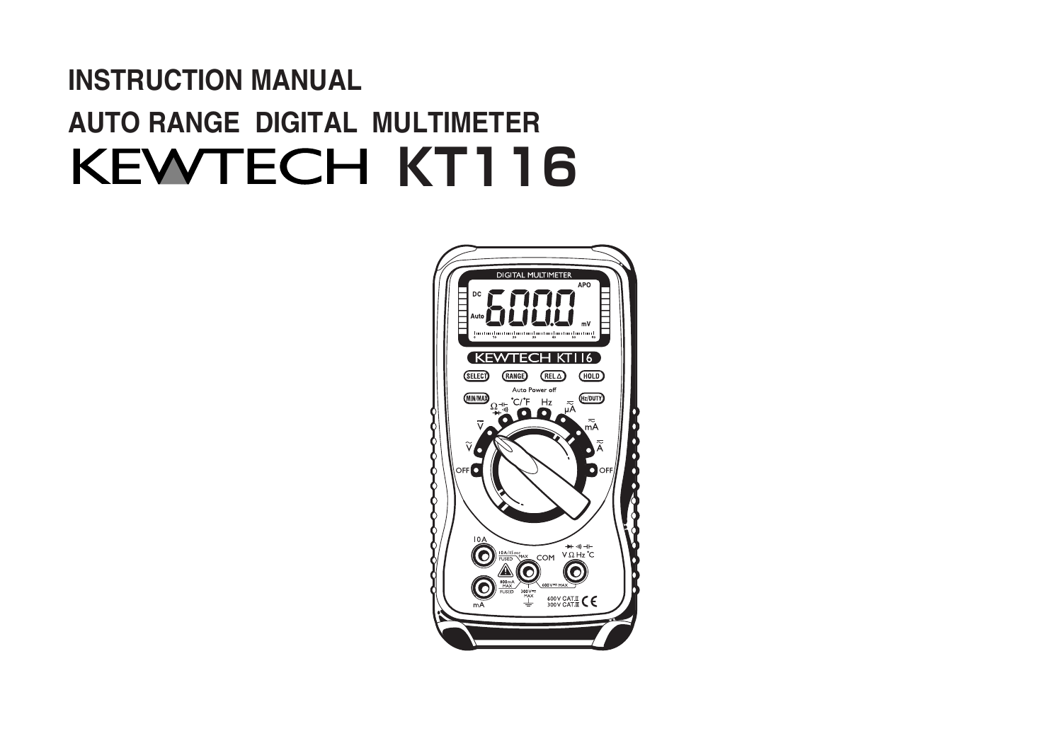# INSTRUCTION MANUAL AUTO RANGE DIGITAL MULTIMETER **KEWTECH KT116**

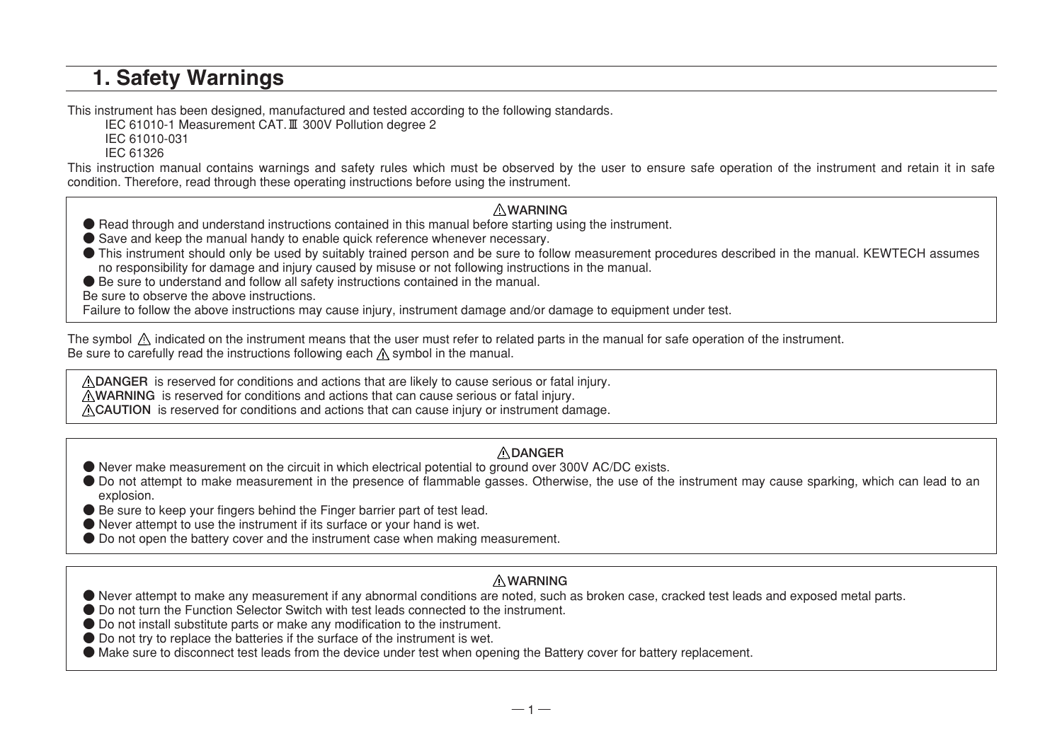### 1. Safety Warnings

This instrument has been designed, manufactured and tested according to the following standards.

IEC 61010-1 Measurement CAT.**Ⅲ** 300V Pollution degree 2

IEC 61010-031

IEC 61326

This instruction manual contains warnings and safety rules which must be observed by the user to ensure safe operation of the instrument and retain it in safe condition. Therefore, read through these operating instructions before using the instrument.

#### **WARNING**

- Read through and understand instructions contained in this manual before starting using the instrument.
- Save and keep the manual handy to enable quick reference whenever necessary.
- This instrument should only be used by suitably trained person and be sure to follow measurement procedures described in the manual. KEWTECH assumes no responsibility for damage and injury caused by misuse or not following instructions in the manual.

● Be sure to understand and follow all safety instructions contained in the manual.

Be sure to observe the above instructions.

Failure to follow the above instructions may cause injury, instrument damage and/or damage to equipment under test.

The symbol  $\Lambda$  indicated on the instrument means that the user must refer to related parts in the manual for safe operation of the instrument. Be sure to carefully read the instructions following each  $\Lambda$  symbol in the manual.

**DANGER** is reserved for conditions and actions that are likely to cause serious or fatal injury.

**WARNING** is reserved for conditions and actions that can cause serious or fatal injury.

**CAUTION** is reserved for conditions and actions that can cause injury or instrument damage.

#### **DANGER**

- Never make measurement on the circuit in which electrical potential to ground over 300V AC/DC exists.
- Do not attempt to make measurement in the presence of flammable gasses. Otherwise, the use of the instrument may cause sparking, which can lead to an explosion.
- Be sure to keep your fingers behind the Finger barrier part of test lead.
- Never attempt to use the instrument if its surface or your hand is wet.
- Do not open the battery cover and the instrument case when making measurement.

### **WARNING**

- Never attempt to make any measurement if any abnormal conditions are noted, such as broken case, cracked test leads and exposed metal parts.
- Do not turn the Function Selector Switch with test leads connected to the instrument.
- Do not install substitute parts or make any modification to the instrument.
- Do not try to replace the batteries if the surface of the instrument is wet.
- Make sure to disconnect test leads from the device under test when opening the Battery cover for battery replacement.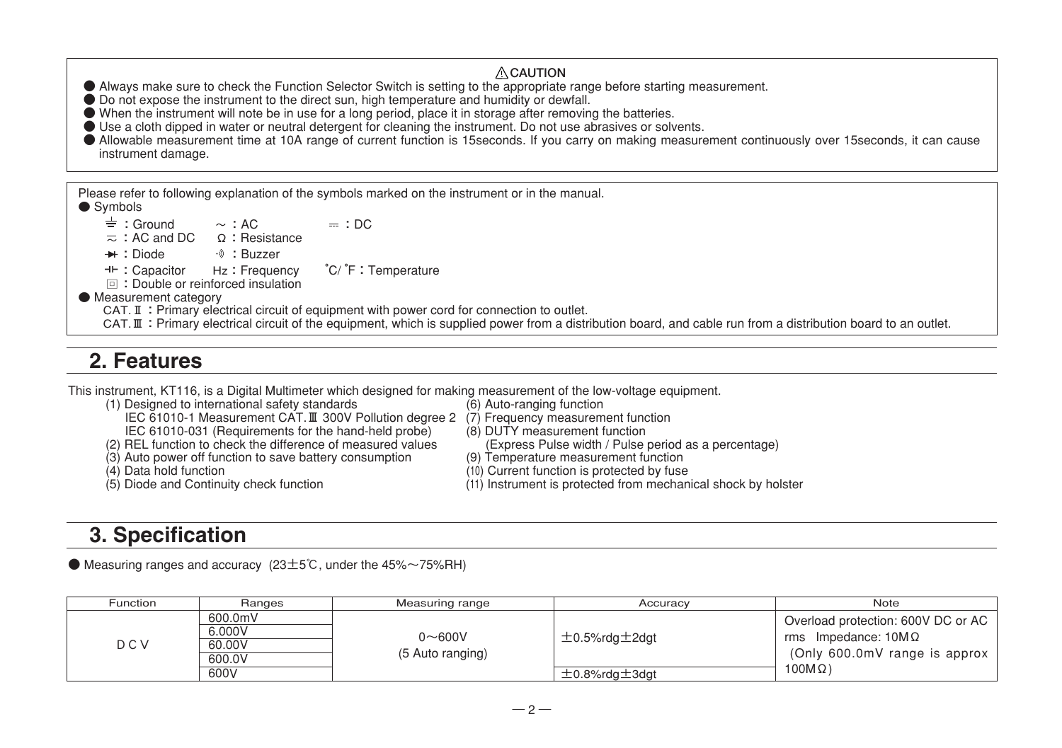#### **CAUTION** ● Always make sure to check the Function Selector Switch is setting to the appropriate range before starting measurement. ● Do not expose the instrument to the direct sun, high temperature and humidity or dewfall. ● When the instrument will note be in use for a long period, place it in storage after removing the batteries. ● Use a cloth dipped in water or neutral detergent for cleaning the instrument. Do not use abrasives or solvents. ● Allowable measurement time at 10A range of current function is 15seconds. If you carry on making measurement continuously over 15seconds, it can cause instrument damage. Please refer to following explanation of the symbols marked on the instrument or in the manual. ● Symbols : Ground  $\sim$  : AC = = : DC<br>: AC and DC Ω : Resistance **Example:** Diode :  $\theta$  : Buzzer :Capacitor Hz:Frequency °C/ °F:Temperature F:Double or reinforced insulation ● Measurement category CAT.**Ⅱ**:Primary electrical circuit of equipment with power cord for connection to outlet. CAT. Ⅲ : Primary electrical circuit of the equipment, which is supplied power from a distribution board, and cable run from a distribution board to an outlet.

### 2. Features

This instrument, KT116, is a Digital Multimeter which designed for making measurement of the low-voltage equipment.

- (1) Designed to international safety standards
	- IEC 61010-1 Measurement CAT.**Ⅲ** 300V Pollution degree 2 (7) Frequency measurement function
- IEC 61010-031 (Requirements for the hand-held probe) (8) DUTY measurement function
- (2) REL function to check the difference of measured values (Express Pulse width / Pulse period (3) Auto power off function to save battery consumption (9) Temperature measurement function  $(3)$  Auto power off function to save battery consumption  $(4)$  Data hold function
- 
- 
- 
- 
- -
- 
- (4) Data hold function (10) Current function is protected by fuse<br>(5) Diode and Continuity check function (11) Instrument is protected from mechan
	- (11) Instrument is protected from mechanical shock by holster

## 3. Specification

 $\bullet$  Measuring ranges and accuracy (23 $\pm$ 5°C, under the 45% $\sim$ 75%RH)

| Function | Ranges                                        | Measuring range                | Accuracy                                             | Note                                                                                                                  |
|----------|-----------------------------------------------|--------------------------------|------------------------------------------------------|-----------------------------------------------------------------------------------------------------------------------|
| D C V    | 600.0mV<br>6.000V<br>60.00V<br>600.0V<br>600V | $0 - 600V$<br>(5 Auto ranging) | $\pm$ 0.5%rdg $\pm$ 2dgt<br>$\pm$ 0.8%rda $\pm$ 3dat | Overload protection: 600V DC or AC  <br>rms Impedance: $10M\Omega$<br>(Only 600.0mV range is approx  <br>$100M\Omega$ |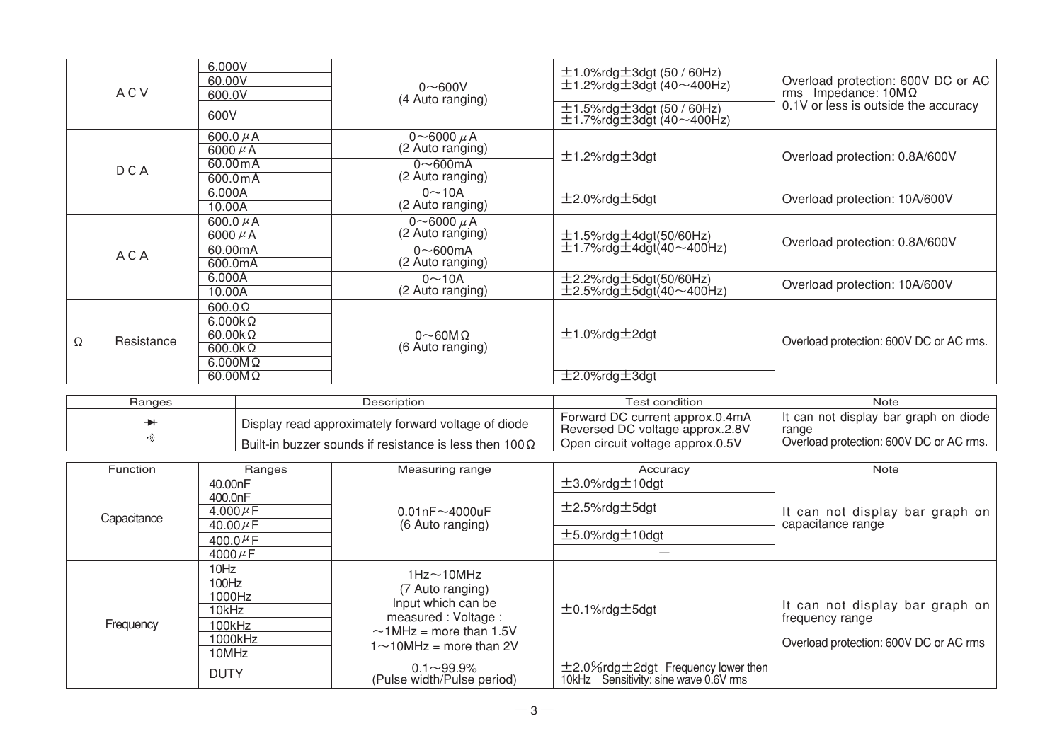|       | <b>ACV</b>         | 6.000V<br>60.00V<br>600.0V<br>600V                                                    | $0\nu$ 600V<br>(4 Auto ranging)                                                | $\pm$ 1.0%rdg $\pm$ 3dgt (50 / 60Hz)<br>$\pm$ 1.2%rdg $\pm$ 3dgt (40~400Hz)<br>$\pm$ 1.5%rdg $\pm$ 3dgt (50 / 60Hz)<br>$\pm$ 1.7%rdg $\pm$ 3dgt (40~400Hz) | Overload protection: 600V DC or AC<br>rms Impedance: $10M\Omega$<br>0.1V or less is outside the accuracy |
|-------|--------------------|---------------------------------------------------------------------------------------|--------------------------------------------------------------------------------|------------------------------------------------------------------------------------------------------------------------------------------------------------|----------------------------------------------------------------------------------------------------------|
|       | <b>DCA</b>         | 600.0 $\mu$ A<br>6000 $\mu$ A<br>60.00 m A<br>600.0mA                                 | 0~6000 $\mu$ A<br>(2 Auto ranging)<br>$0\nthicksim 600$ mA<br>(2 Auto ranging) | $±1.2\%$ rdg $±3$ dgt                                                                                                                                      | Overload protection: 0.8A/600V                                                                           |
|       | 6.000A<br>10.00A   | $0 - 10A$<br>(2 Auto ranging)                                                         | $±2.0\%$ rdg $±5$ dgt                                                          | Overload protection: 10A/600V                                                                                                                              |                                                                                                          |
| A C A |                    | 600.0 $\mu$ A<br>6000 $\mu$ A                                                         | 0~6000 $\mu$ A<br>(2 Auto ranging)                                             | $\pm$ 1.5%rdg $\pm$ 4dgt(50/60Hz)<br>$\pm$ 1.7%rdg $\pm$ 4dgt(40~400Hz)                                                                                    | Overload protection: 0.8A/600V                                                                           |
|       | 60.00mA<br>600.0mA | $0\nu$ 600mA<br>(2 Auto ranging)                                                      |                                                                                |                                                                                                                                                            |                                                                                                          |
|       |                    | 6.000A<br>10.00A                                                                      | $0 - 10A$<br>(2 Auto ranging)                                                  | $\pm$ 2.2%rdg $\pm$ 5dgt(50/60Hz)<br>$\pm$ 2.5%rdg $\pm$ 5dgt(40~400Hz)                                                                                    | Overload protection: 10A/600V                                                                            |
| Ω     | Resistance         | $600.0\Omega$<br>$6.000k\Omega$<br>$60.00k\Omega$<br>$600.0k\Omega$<br>$6.000M\Omega$ | $0\sim$ 60M $\Omega$<br>(6 Auto ranging)                                       | $±1.0\%$ rdg $±2$ dgt                                                                                                                                      | Overload protection: 600V DC or AC rms.                                                                  |
|       |                    | $60.00M\Omega$                                                                        |                                                                                | $\pm$ 2.0%rdg $\pm$ 3dgt                                                                                                                                   |                                                                                                          |

| Ranges | Description                                                    | Test condition                                                     | Note                                           |
|--------|----------------------------------------------------------------|--------------------------------------------------------------------|------------------------------------------------|
|        | Display read approximately forward voltage of diode            | Forward DC current approx.0.4mA<br>Reversed DC voltage approx.2.8V | It can not display bar graph on diode<br>range |
|        | Built-in buzzer sounds if resistance is less then $100 \Omega$ | Open circuit voltage approx.0.5V                                   | Overload protection: 600V DC or AC rms.        |

| Function    | Ranges        | Measuring range                                                                                                                                    | Accuracy                                                                               | Note                                   |
|-------------|---------------|----------------------------------------------------------------------------------------------------------------------------------------------------|----------------------------------------------------------------------------------------|----------------------------------------|
|             | 40.00nF       | $0.01nF \sim 4000nF$<br>(6 Auto ranging)                                                                                                           | $\pm$ 3.0%rdg $\pm$ 10dgt                                                              |                                        |
|             | 400.0nF       |                                                                                                                                                    | $±2.5\%$ rdg $±5$ dgt                                                                  |                                        |
| Capacitance | 4.000 $\mu$ F |                                                                                                                                                    |                                                                                        | It can not display bar graph on        |
|             | 40.00 $\mu$ F |                                                                                                                                                    |                                                                                        | capacitance range                      |
|             | 400.0 $\mu$ F |                                                                                                                                                    | $±5.0\%$ rdg $±10$ dgt                                                                 |                                        |
|             | 4000 $\mu$ F  |                                                                                                                                                    |                                                                                        |                                        |
|             | 10Hz          | $1Hz \sim 10MHz$<br>(7 Auto ranging)<br>Input which can be<br>measured: Voltage:<br>$\sim$ 1MHz = more than 1.5V<br>$1 \sim 10$ MHz = more than 2V |                                                                                        |                                        |
|             | 100Hz         |                                                                                                                                                    |                                                                                        |                                        |
|             | 1000Hz        |                                                                                                                                                    | $±0.1\%$ rdg $±5$ dgt                                                                  | It can not display bar graph on        |
|             | 10kHz         |                                                                                                                                                    |                                                                                        | frequency range                        |
| Frequency   | 100kHz        |                                                                                                                                                    |                                                                                        |                                        |
|             | 1000kHz       |                                                                                                                                                    |                                                                                        | Overload protection: 600V DC or AC rms |
|             | 10MHz         |                                                                                                                                                    |                                                                                        |                                        |
|             | <b>DUTY</b>   | $0.1 - 99.9%$<br>(Pulse width/Pulse period)                                                                                                        | $\pm$ 2.0%rdg $\pm$ 2dgt Frequency lower then<br>10kHz Sensitivity: sine wave 0.6V rms |                                        |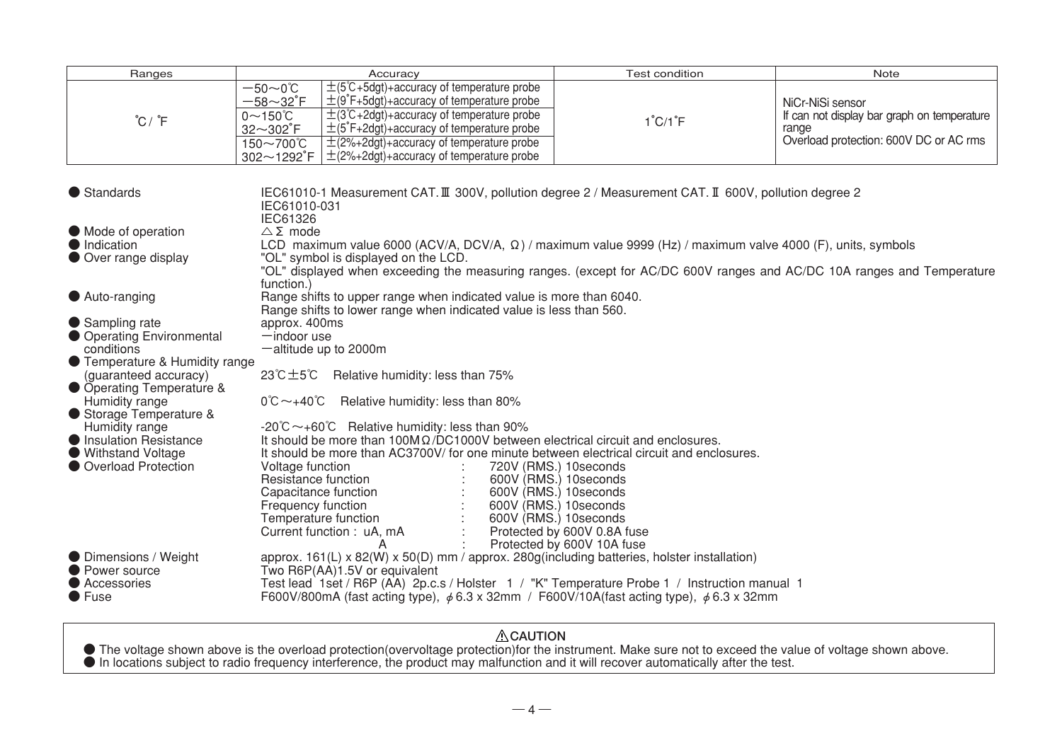| Ranges                                                                                                                                                                                                                                                                                                                                                                                                                                                                                                                                                                                                                                                                                                                                                                                                                                                                                                                                                                                                                                                                                                                                                                       | Accuracy                                                                                                                                                                                                                                                                                                                                                                                                                           | <b>Test condition</b>        | Note                                                                                                               |  |
|------------------------------------------------------------------------------------------------------------------------------------------------------------------------------------------------------------------------------------------------------------------------------------------------------------------------------------------------------------------------------------------------------------------------------------------------------------------------------------------------------------------------------------------------------------------------------------------------------------------------------------------------------------------------------------------------------------------------------------------------------------------------------------------------------------------------------------------------------------------------------------------------------------------------------------------------------------------------------------------------------------------------------------------------------------------------------------------------------------------------------------------------------------------------------|------------------------------------------------------------------------------------------------------------------------------------------------------------------------------------------------------------------------------------------------------------------------------------------------------------------------------------------------------------------------------------------------------------------------------------|------------------------------|--------------------------------------------------------------------------------------------------------------------|--|
| $^{\circ}$ C / $^{\circ}$ F                                                                                                                                                                                                                                                                                                                                                                                                                                                                                                                                                                                                                                                                                                                                                                                                                                                                                                                                                                                                                                                                                                                                                  | $\pm$ (5°C+5dgt)+accuracy of temperature probe<br>$-50\sim0$ °C<br>$\pm$ (9°F+5dgt)+accuracy of temperature probe<br>$-58 - 32$ °F<br>$\pm$ (3°C+2dgt)+accuracy of temperature probe<br>$0 \sim 150^{\circ}$ C<br>$\pm$ (5°F+2dgt)+accuracy of temperature probe<br>$32 - 302^{\circ}$ F<br>$\pm$ (2%+2dgt)+accuracy of temperature probe<br>$150\sim700^{\circ}$ C<br>$\pm$ (2%+2dgt)+accuracy of temperature probe<br>302~1292°F | $1^{\circ}$ C/ $1^{\circ}$ F | NiCr-NiSi sensor<br>If can not display bar graph on temperature<br>range<br>Overload protection: 600V DC or AC rms |  |
| ● Standards<br>IEC61010-1 Measurement CAT. III 300V, pollution degree 2 / Measurement CAT. II 600V, pollution degree 2<br>IEC61010-031                                                                                                                                                                                                                                                                                                                                                                                                                                                                                                                                                                                                                                                                                                                                                                                                                                                                                                                                                                                                                                       |                                                                                                                                                                                                                                                                                                                                                                                                                                    |                              |                                                                                                                    |  |
| • Mode of operation<br>• Indication<br>● Over range display                                                                                                                                                                                                                                                                                                                                                                                                                                                                                                                                                                                                                                                                                                                                                                                                                                                                                                                                                                                                                                                                                                                  | <b>IEC61326</b><br>$\triangle \Sigma$ mode<br>LCD maximum value 6000 (ACV/A, DCV/A, $\Omega$ ) / maximum value 9999 (Hz) / maximum valve 4000 (F), units, symbols<br>"OL" symbol is displayed on the LCD.<br>"OL" displayed when exceeding the measuring ranges. (except for AC/DC 600V ranges and AC/DC 10A ranges and Temperature<br>function.)                                                                                  |                              |                                                                                                                    |  |
| Auto-ranging                                                                                                                                                                                                                                                                                                                                                                                                                                                                                                                                                                                                                                                                                                                                                                                                                                                                                                                                                                                                                                                                                                                                                                 | Range shifts to upper range when indicated value is more than 6040.                                                                                                                                                                                                                                                                                                                                                                |                              |                                                                                                                    |  |
| Range shifts to lower range when indicated value is less than 560.<br>● Sampling rate<br>approx. 400ms<br>● Operating Environmental<br>$-$ indoor use<br>conditions<br>-altitude up to 2000m<br>• Temperature & Humidity range<br>23℃ $±5$ °C Relative humidity: less than 75%<br>(quaranteed accuracy)<br>● Operating Temperature &<br>Humidity range<br>$0^{\circ}$ C $\sim$ +40 $^{\circ}$ C<br>Relative humidity: less than 80%<br>Storage Temperature &<br>$-20^{\circ}$ C $\sim$ +60 $^{\circ}$ C Relative humidity: less than 90%<br>Humidity range<br>It should be more than 100M $\Omega$ /DC1000V between electrical circuit and enclosures.<br>Insulation Resistance<br>It should be more than AC3700V/ for one minute between electrical circuit and enclosures.<br>● Withstand Voltage<br>● Overload Protection<br>720V (RMS.) 10 seconds<br>Voltage function<br>Resistance function<br>600V (RMS.) 10 seconds<br>600V (RMS.) 10seconds<br>Capacitance function<br>600V (RMS.) 10 seconds<br>Frequency function<br>600V (RMS.) 10 seconds<br>Temperature function<br>Protected by 600V 0.8A fuse<br>Current function: uA, mA<br>Protected by 600V 10A fuse<br>А |                                                                                                                                                                                                                                                                                                                                                                                                                                    |                              |                                                                                                                    |  |
| <b>O</b> Dimensions / Weight<br>Power source<br>Accessories<br>$\bullet$ Fuse                                                                                                                                                                                                                                                                                                                                                                                                                                                                                                                                                                                                                                                                                                                                                                                                                                                                                                                                                                                                                                                                                                | approx. $161(L) \times 82(W) \times 50(D)$ mm / approx. $280q$ (including batteries, holster installation)<br>Two R6P(AA)1.5V or equivalent<br>Test lead 1set / R6P (AA) 2p.c.s / Holster 1 / "K" Temperature Probe 1 / Instruction manual 1<br>F600V/800mA (fast acting type), $\phi$ 6.3 x 32mm / F600V/10A(fast acting type), $\phi$ 6.3 x 32mm                                                                                 |                              |                                                                                                                    |  |

△ CAUTION<br>● The voltage shown above is the overload protection(overvoltage protection)for the instrument. Make sure not to exceed the value of voltage shown above.<br>● In locations subject to radio frequency interference, t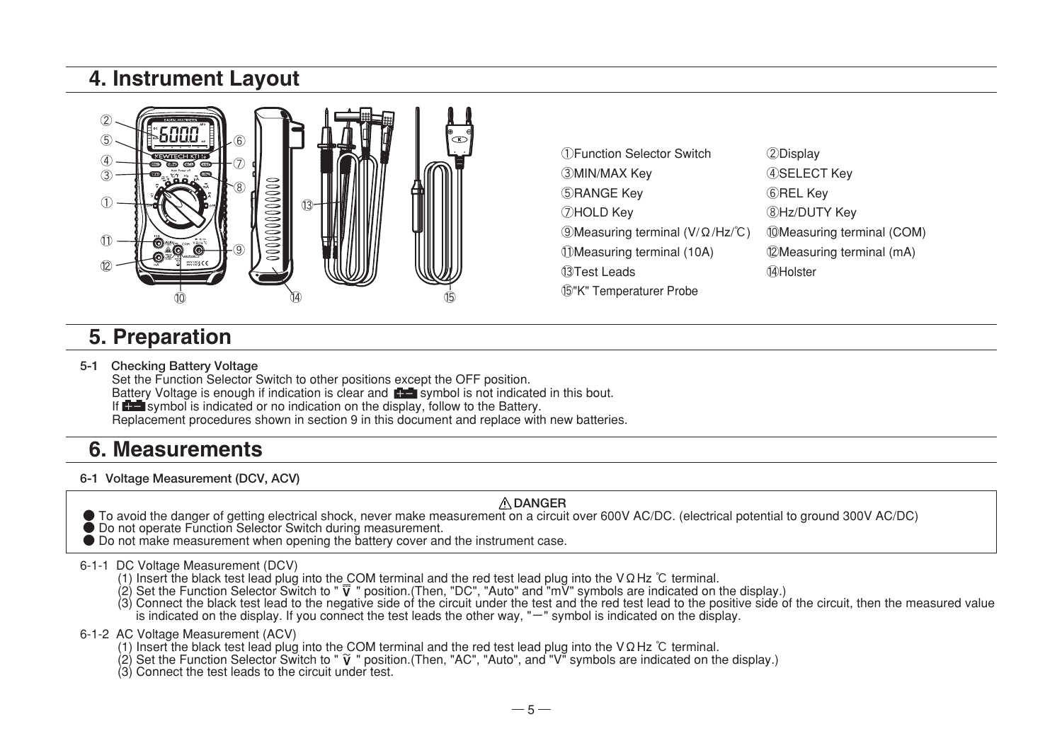### 4. Instrument Layout



①Function Selector Switch ②Display ③MIN/MAX Key ④SELECT Key ⑤RANGE Key ⑥REL Key ⑦HOLD Key ⑧Hz/DUTY Key ⑨Measuring terminal (V/Ω/Hz/℃) ⑩Measuring terminal (COM) ⑪Measuring terminal (10A) ⑫Measuring terminal (mA) ⑬Test Leads ⑭Holster ⑮"K" Temperaturer Probe

### 5. Preparation

**5-1 Checking Battery Voltage**

Set the Function Selector Switch to other positions except the OFF position. Battery Voltage is enough if indication is clear and **For a** symbol is not indicated in this bout. If  $\blacksquare$  symbol is indicated or no indication on the display, follow to the Battery. Replacement procedures shown in section 9 in this document and replace with new batteries.

### 6. Measurements

**6-1 Voltage Measurement (DCV, ACV)**

#### **DANGER**

- To avoid the danger of getting electrical shock, never make measurement on a circuit over 600V AC/DC. (electrical potential to ground 300V AC/DC)
- Do not operate Function Selector Switch during measurement.
- Do not make measurement when opening the battery cover and the instrument case.

#### 6-1-1 DC Voltage Measurement (DCV)

- (1) Insert the black test lead plug into the COM terminal and the red test lead plug into the VΩHz ℃ terminal.
- 
- (2) Set the Function Selector Switch to " ⊽ " position.(Then, "DC", "Auto" and "mV" symbols are indicated on the display.)<br>(3) Connect the black test lead to the negative side of the circuit under the test and the red tes is indicated on the display. If you connect the test leads the other way, "ー" symbol is indicated on the display.
- 6-1-2 AC Voltage Measurement (ACV)
	- (1) Insert the black test lead plug into the COM terminal and the red test lead plug into the VΩHz ℃ terminal.
	- (2) Set the Function Selector Switch to "  $\breve{\mathsf{V}}$  " position.(Then, "AC", "Auto", and "V" symbols are indicated on the display.)<br>(3) Connect the test leads to the circuit under test.
	-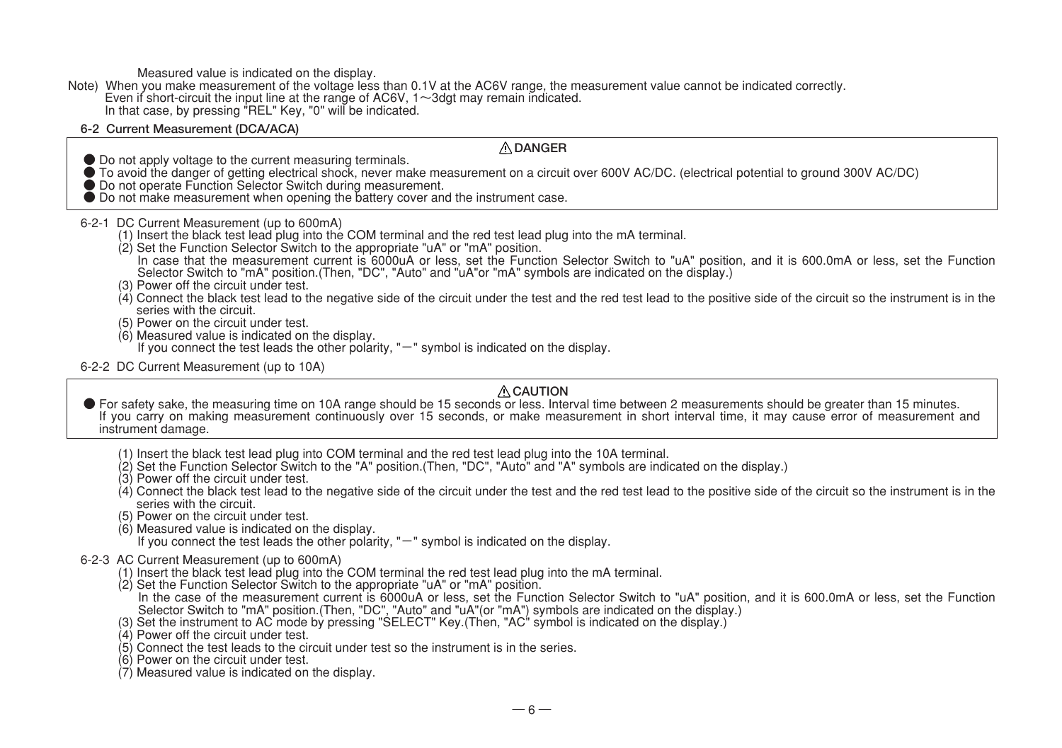Measured value is indicated on the display.

Note) When you make measurement of the voltage less than 0.1V at the AC6V range, the measurement value cannot be indicated correctly. Even if short-circuit the input line at the range of AC6V,  $1 \sim$ 3dgt may remain indicated. In that case, by pressing "REL" Key, "0" will be indicated.

#### **6-2 Current Measurement (DCA/ACA)**

#### **DANGER**

- 
- Do not apply voltage to the current measuring terminals.<br>● To avoid the danger of getting electrical shock, never make measurement on a circuit over 600V AC/DC. (electrical potential to ground 300V AC/DC)<br>● Do not opera
- 
- 

#### 6-2-1 DC Current Measurement (up to 600mA)

- (1) Insert the black test lead plug into the COM terminal and the red test lead plug into the mA terminal.
- (2) Set the Function Selector Switch to the appropriate "uA" or "mA" position.
	- In case that the measurement current is 6000uA or less, set the Function Selector Switch to "uA" position, and it is 600.0mA or less, set the Function Selector Switch to "mA" position.(Then, "DC", "Auto" and "uA"or "mA" symbols are indicated on the display.)
- (3) Power off the circuit under test.
- $(4)$  Connect the black test lead to the negative side of the circuit under the test and the red test lead to the positive side of the circuit so the instrument is in the series with the circuit
- (5) Power on the circuit under test.
- (6) Measured value is indicated on the display.
	- If you connect the test leads the other polarity, "ー" symbol is indicated on the display.
- 6-2-2 DC Current Measurement (up to 10A)

#### **CAUTION**

- For safety sake, the measuring time on 10A range should be 15 seconds or less. Interval time between 2 measurements should be greater than 15 minutes. If you carry on making measurement continuously over 15 seconds, or make measurement in short interval time, it may cause error of measurement and instrument damage.
	- (1) Insert the black test lead plug into COM terminal and the red test lead plug into the 10A terminal.
	- (2) Set the Function Selector Switch to the "A" position.(Then, "DC", "Auto" and "A" symbols are indicated on the display.)
	- (3) Power off the circuit under test.
	- $(4)$  Connect the black test lead to the negative side of the circuit under the test and the red test lead to the positive side of the circuit so the instrument is in the series with the circuit.
	- (5) Power on the circuit under test.
	- (6) Measured value is indicated on the display.
		- If you connect the test leads the other polarity, "ー" symbol is indicated on the display.

#### 6-2-3 AC Current Measurement (up to 600mA)

- (1) Insert the black test lead plug into the COM terminal the red test lead plug into the mA terminal.
- (2) Set the Function Selector Switch to the appropriate "uA" or "mA" position. In the case of the measurement current is 6000uA or less, set the Function Selector Switch to "uA" position, and it is 600.0mA or less, set the Function Selector Switch to "mA" position.(Then, "DC", "Auto" and "uA"(or "mA") symbols are indicated on the display.)
- (3) Set the instrument to AC mode by pressing "SELECT" Key.(Then, "AC" symbol is indicated on the display.)
- (4) Power off the circuit under test.
- (5) Connect the test leads to the circuit under test so the instrument is in the series.
- (6) Power on the circuit under test.
- (7) Measured value is indicated on the display.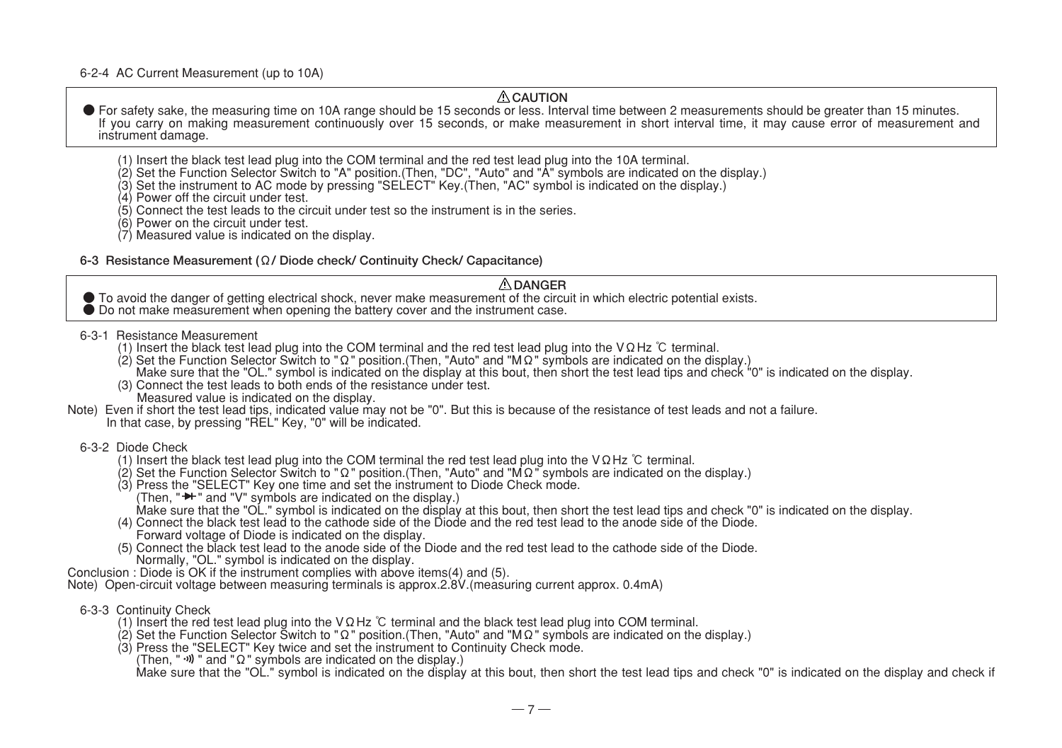6-2-4 AC Current Measurement (up to 10A)

#### **CAUTION**

● For safety sake, the measuring time on 10A range should be 15 seconds or less. Interval time between 2 measurements should be greater than 15 minutes. If you carry on making measurement continuously over 15 seconds, or make measurement in short interval time, it may cause error of measurement and instrument damage.

- (1) Insert the black test lead plug into the COM terminal and the red test lead plug into the 10A terminal.
- 
- (2) Set the Function Selector Switch to "A" position.(Then, "DC", "Auto" and "A" symbols are indicated on the display.)<br>(3) Set the instrument to AC mode by pressing "SELECT" Key.(Then, "AC" symbol is indicated on the disp
- (4) Power off the circuit under test.
- $(5)$  Connect the test leads to the circuit under test so the instrument is in the series.
- (6) Power on the circuit under test.
- (7) Measured value is indicated on the display.

#### **6-3 Resistance Measurement (Ω/ Diode check/ Continuity Check/ Capacitance)**

#### **DANGER**

- To avoid the danger of getting electrical shock, never make measurement of the circuit in which electric potential exists. Do not make measurement when opening the battery cover and the instrument case.
	-
- 6-3-1 Resistance Measurement
	- (1) Insert the black test lead plug into the COM terminal and the red test lead plug into the VΩHz ℃ terminal.
	- (2) Set the Function Selector Switch to "Ω" position.(Then, "Auto" and "MΩ" symbols are indicated on the display.)
	- Make sure that the "OL." symbol is indicated on the display at this bout, then short the test lead tips and check "0" is indicated on the display.
	- (3) Connect the test leads to both ends of the resistance under test.
	- Measured value is indicated on the display.
- Note) Even if short the test lead tips, indicated value may not be "0". But this is because of the resistance of test leads and not a failure. In that case, by pressing "REL" Key, "0" will be indicated.

#### 6-3-2 Diode Check

- (1) Insert the black test lead plug into the COM terminal the red test lead plug into the VΩHz ℃ terminal.
- (2) Set the Function Selector Switch to "Ω" position.(Then, "Auto" and "MΩ" symbols are indicated on the display.)
- (3) Press the "SELECT" Key one time and set the instrument to Diode Check mode.
- (Then,  $"\blacktriangleright"$  and "V" symbols are indicated on the display.) Make sure that the "OL." symbol is indicated on the display at this bout, then short the test lead tips and check "0" is indicated on the display.
- (4) Connect the black test lead to the cathode side of the Diode and the red test lead to the anode side of the Diode. Forward voltage of Diode is indicated on the display.
- (5) Connect the black test lead to the anode side of the Diode and the red test lead to the cathode side of the Diode. Normally, "OL." symbol is indicated on the display.
- Conclusion : Diode is OK if the instrument complies with above items(4) and (5).

Note) Open-circuit voltage between measuring terminals is approx.2.8V.(measuring current approx. 0.4mA)

- 6-3-3 Continuity Check
	- (1) Insert the red test lead plug into the VΩHz ℃ terminal and the black test lead plug into COM terminal.
	- (2) Set the Function Selector Switch to "Ω" position.(Then, "Auto" and "MΩ" symbols are indicated on the display.)
	- (3) Press the "SELECT" Key twice and set the instrument to Continuity Check mode.
		- (Then, "  $\cdot$ ) " and " $\Omega$ " symbols are indicated on the display.)

Make sure that the "OL." symbol is indicated on the display at this bout, then short the test lead tips and check "0" is indicated on the display and check if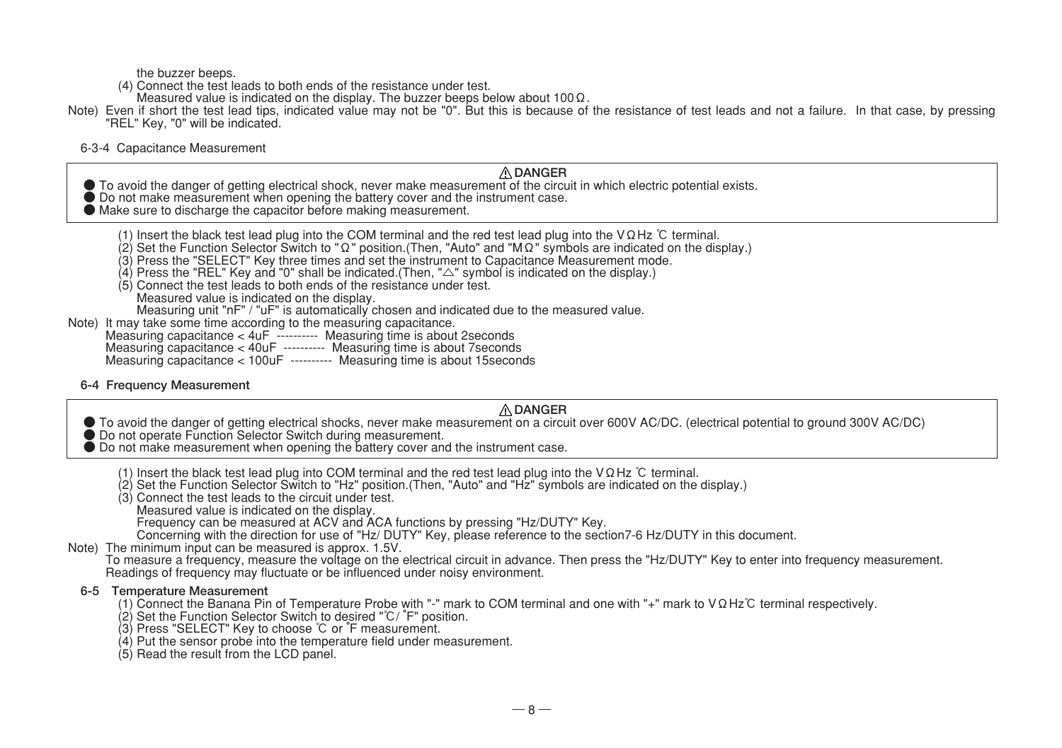the buzzer beeps.

- (4) Connect the test leads to both ends of the resistance under test.
- Measured value is indicated on the display. The buzzer beeps below about 100Ω.
- Note) Even if short the test lead tips, indicated value may not be "0". But this is because of the resistance of test leads and not a failure. In that case, by pressing "REL" Key, "0" will be indicated.

6-3-4 Capacitance Measurement

#### **DANGER**

- To avoid the danger of getting electrical shock, never make measurement of the circuit in which electric potential exists.<br>● Do not make measurement when opening the battery cover and the instrument case.
- 
- Make sure to discharge the capacitor before making measurement.

|  | (1) Insert the black test lead plug into the COM terminal and the red test lead plug into the V $\Omega$ Hz $\degree$ terminal. |  |
|--|---------------------------------------------------------------------------------------------------------------------------------|--|

- (1) Insert the black test lead plug into the COM terminal and the red test lead plug into the VΩHz °C terminal.<br>(2) Set the Function Selector Switch to "Ω" position.(Then, "Auto" and "MΩ" symbols are indicated on the disp
- (3) Press the "SELECT" Key three times and set the instrument to Capacitance Measurement mode.
- (4) Press the "REL" Key and "0" shall be indicated.(Then, "△" symbol is indicated on the display.)
- (5) Connect the test leads to both ends of the resistance under test. Measured value is indicated on the display.
- Measuring unit "nF" / "uF" is automatically chosen and indicated due to the measured value.<br>Note) It may take some time according to the measuring capacitance.
- - Note) It may take some time according to the measuring capacitance. Measuring capacitance < 4uF ---------- Measuring time is about 2seconds
	- Measuring capacitance < 40uF ---------- Measuring time is about 7seconds
	- Measuring capacitance < 100uF ---------- Measuring time is about 15seconds
- **6-4 Frequency Measurement**

#### **DANGER**

- To avoid the danger of getting electrical shocks, never make measurement on a circuit over 600V AC/DC. (electrical potential to ground 300V AC/DC)<br>● Do not operate Function Selector Switch during measurement.<br>● Do not m
- 
- - (1) Insert the black test lead plug into COM terminal and the red test lead plug into the VΩHz ℃ terminal.
	- (2) Set the Function Selector Switch to "Hz" position.(Then, "Auto" and "Hz" symbols are indicated on the display.)
	- (3) Connect the test leads to the circuit under test.
		- Measured value is indicated on the display.
		- Frequency can be measured at ACV and ACA functions by pressing "Hz/DUTY" Key.
		- Concerning with the direction for use of "Hz/ DUTY" Key, please reference to the section7-6 Hz/DUTY in this document.
- Note) The minimum input can be measured is approx. 1.5V.
	- To measure a frequency, measure the voltage on the electrical circuit in advance. Then press the "Hz/DUTY" Key to enter into frequency measurement. Readings of frequency may fluctuate or be influenced under noisy environment.

#### **6-5 Temperature Measurement**

- (1) Connect the Banana Pin of Temperature Probe with "-" mark to COM terminal and one with "+" mark to VΩHz℃ terminal respectively.
- (2) Set the Function Selector Switch to desired "℃/ °F" position.
- (3) Press "SELECT" Key to choose ℃ or °F measurement.
- (4) Put the sensor probe into the temperature field under measurement.
- (5) Read the result from the LCD panel.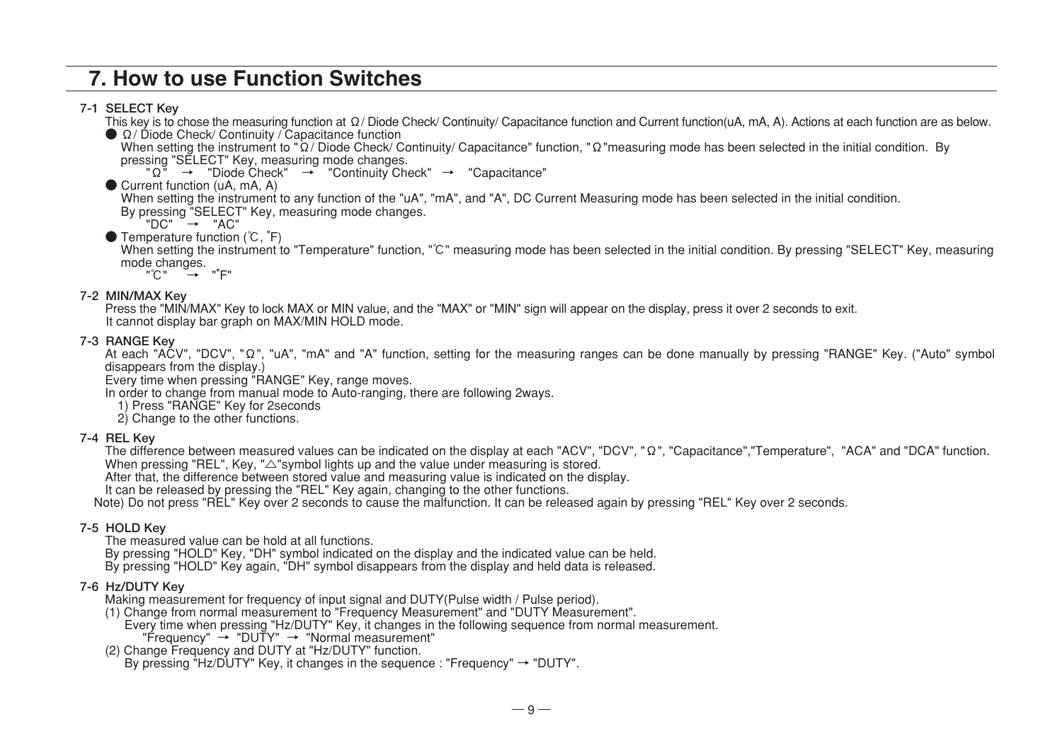### 7. How to use Function Switches

#### **7-1 SELECT Key**

This key is to chose the measuring function at Ω/ Diode Check/ Continuity/ Capacitance function and Current function(uA, mA, A). Actions at each function are as below.

 $\bigcirc$  Ω/ Diode Check/ Continuity / Capacitance function

When setting the instrument to "Ω/ Diode Check/ Continuity/ Capacitance" function, "Ω"measuring mode has been selected in the initial condition. By pressing "SELECT" Key, measuring mode changes.

 $"\Omega" \rightarrow "Diode Check" \rightarrow "Continuity Check" \rightarrow "Capacitance"$ 

● Current function (uA, mA, A)

When setting the instrument to any function of the "uA", "mA", and "A". DC Current Measuring mode has been selected in the initial condition. By pressing "SELECT" Key, measuring mode changes.

 $"DC"$   $\rightarrow$   $"AC"$ 

● Temperature function (°C, °F)

When setting the instrument to "Temperature" function, "℃" measuring mode has been selected in the initial condition. By pressing "SELECT" Key, measuring mode changes.

"°C" → "°E"

#### **7-2 MIN/MAX Key**

Press the "MIN/MAX" Key to lock MAX or MIN value, and the "MAX" or "MIN" sign will appear on the display, press it over 2 seconds to exit. It cannot display bar graph on MAX/MIN HOLD mode.

#### **7-3 RANGE Key**

At each "ACV", "DCV", "Ω", "uA", "mA" and "A" function, setting for the measuring ranges can be done manually by pressing "RANGE" Key. ("Auto" symbol disappears from the display.)

Every time when pressing "RANGE" Key, range moves.

In order to change from manual mode to Auto-ranging, there are following 2ways.

- 1) Press "RANGE" Key for 2seconds
- 2) Change to the other functions.

#### **7-4 REL Key**

The difference between measured values can be indicated on the display at each "ACV", "DCV", "Ω", "Capacitance", "Femperature", "ACA" and "DCA" function. When pressing "REL", Key, " $\triangle$ "symbol lights up and the value under measuring is stored.

After that, the difference between stored value and measuring value is indicated on the display.

It can be released by pressing the "REL" Key again, changing to the other functions.

Note) Do not press "REL" Key over 2 seconds to cause the malfunction. It can be released again by pressing "REL" Key over 2 seconds.

#### **7-5 HOLD Key**

The measured value can be hold at all functions.

By pressing "HOLD" Key, "DH" symbol indicated on the display and the indicated value can be held.

By pressing "HOLD" Key again, "DH" symbol disappears from the display and held data is released.

#### **7-6 Hz/DUTY Key**

Making measurement for frequency of input signal and DUTY(Pulse width / Pulse period).

(1) Change from normal measurement to "Frequency Measurement" and "DUTY Measurement".

Every time when pressing "Hz/DUTY" Key, it changes in the following sequence from normal measurement. "Frequency" → "DUTY" → "Normal measurement"

(2) Change Frequency and DUTY at "Hz/DUTY" function.

By pressing "Hz/DUTY" Key, it changes in the sequence : "Frequency" → "DUTY".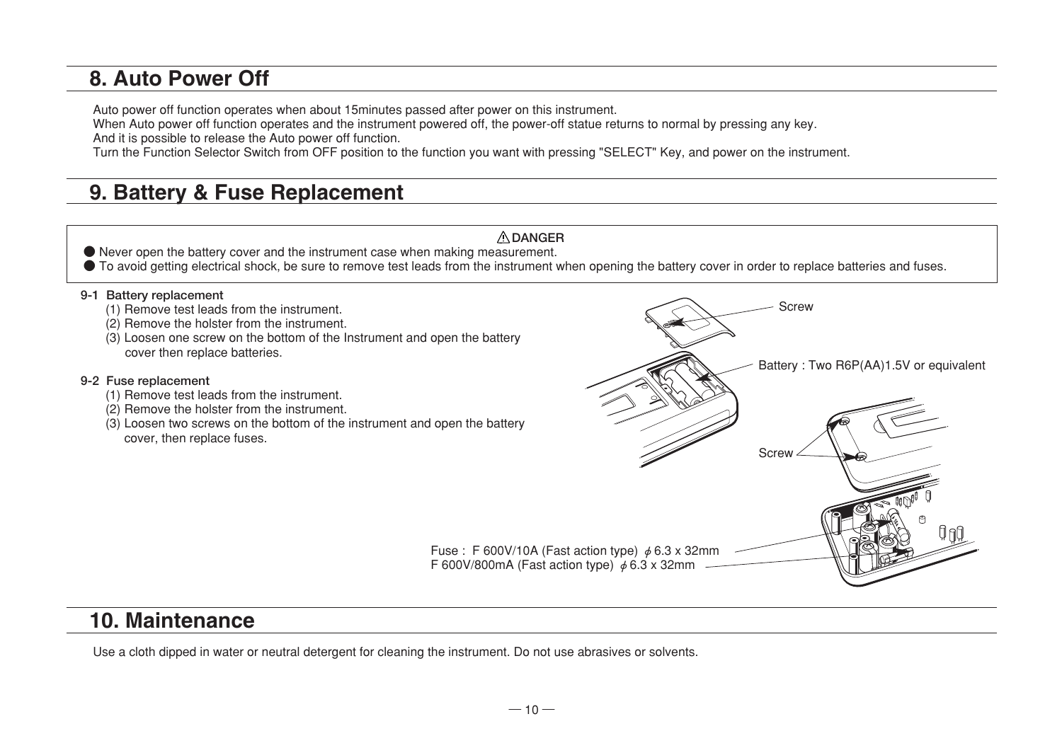### 8. Auto Power Off

Auto power off function operates when about 15minutes passed after power on this instrument.

When Auto power off function operates and the instrument powered off, the power-off statue returns to normal by pressing any key.

And it is possible to release the Auto power off function.

Turn the Function Selector Switch from OFF position to the function you want with pressing "SELECT" Key, and power on the instrument.

## 9. Battery & Fuse Replacement



### 10. Maintenance

Use a cloth dipped in water or neutral detergent for cleaning the instrument. Do not use abrasives or solvents.